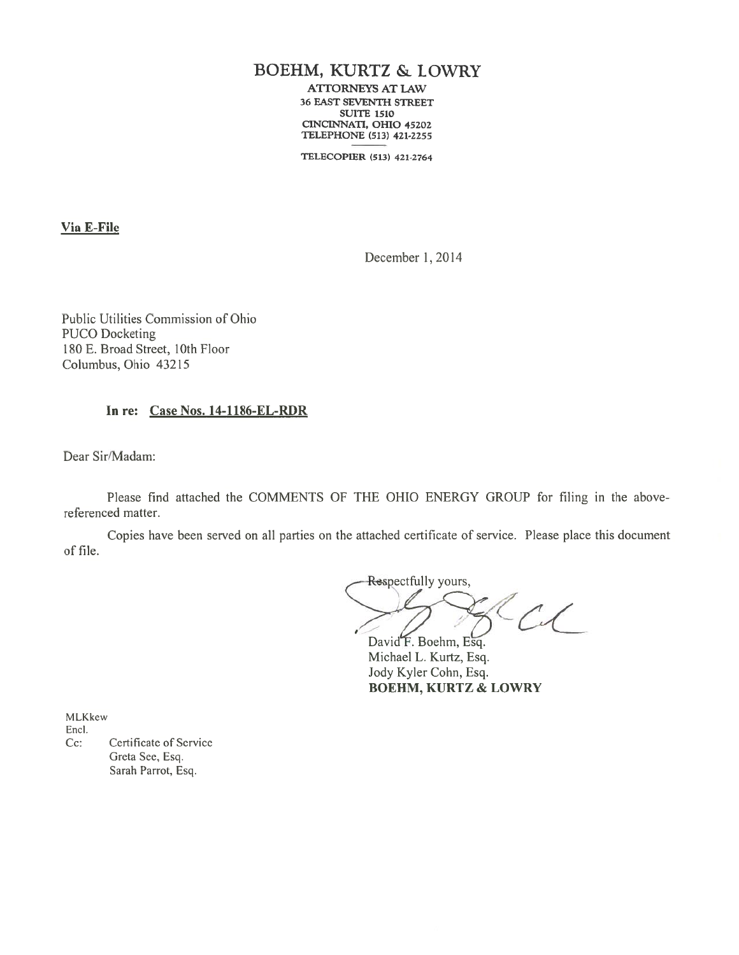# BOEHM, KURTZ & LOWRY

**ATTORNEYS AT LAW** 36 EAST SEVENTH STREET SUITE 1510 CINCINNATI, OHIO 45202 TELEPHONE (513) 421-2255

TELECOPIER (513) 421-2764

Via E-File

December 1, 2014

Public Utilities Commission of Ohio PUCO Docketing 180 E. Broad Street, 10th Floor Columbus, Ohio 43215

#### In re: Case Nos. 14-1186-EL-RDR

Dear Sir/Madam:

Please find attached the COMMENTS OF THE OHIO ENERGY GROUP for filing in the abovereferenced matter.

Copies have been served on all parties on the attached certificate of service. Please place this document of file.

Respectfully yours,  $c$ 

David F. Boehm, Esq. Michael L. Kurtz, Esq. Jody Kyler Cohn, Esq. BOEHM, KURTZ & LOWRY

MLKkew Encl. Cc: Certificate of Service Greta See, Esq. Sarah Parrot, Esq.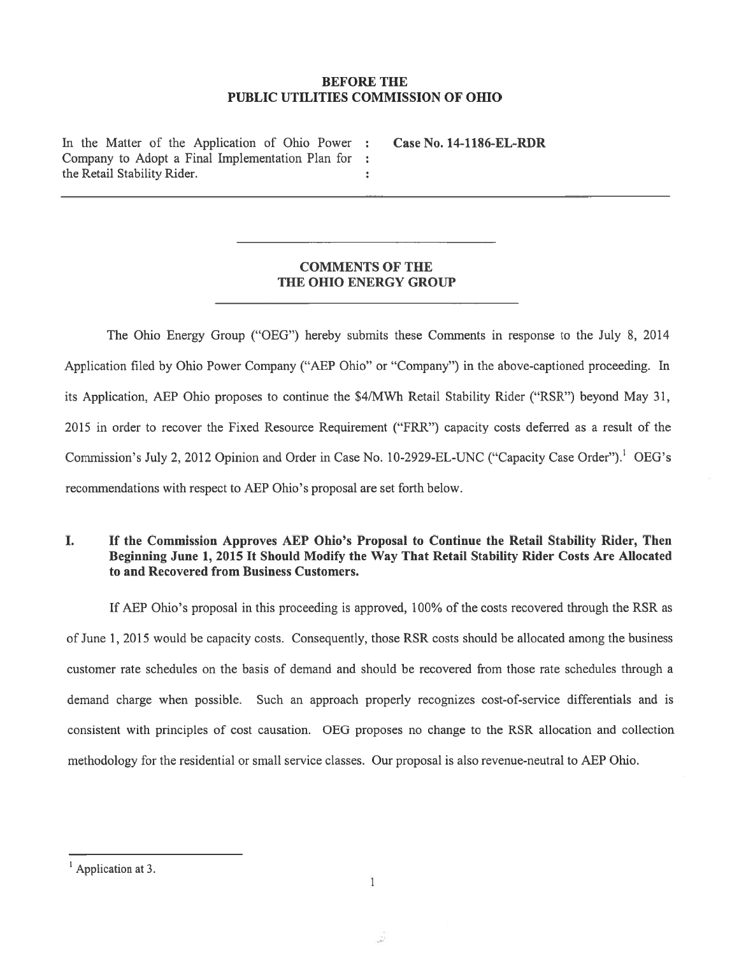#### BEFORE THE PUBLIC UTILITIES COMMISSION OF OHIO

In the Matter of the Application of Ohio Power : Case No. 14-1186-EL-RDR Company to Adopt <sup>a</sup> Final Implementation Plan for the Retail Stability Rider.

## COMMENTS OF THE THE OHIO ENERGY GROUP

The Ohio Energy Group ("OEG") hereby submits these Comments in response to the July 8, 2014 Application filed by Ohio Power Company ("AEP Ohio" or "Company") in the above-captioned proceeding. In its Application, AEP Ohio proposes to continue the \$4/MWh Retail Stability Rider ("RSR") beyond May 31, 2015 in order to recover the Fixed Resource Requirement ("FRR") capacity costs deferred as <sup>a</sup> result of the Commission's July 2, 2012 Opinion and Order in Case No. 10-2929-EL-UNC ("Capacity Case Order").<sup>1</sup> OEG's recommendations with respec<sup>t</sup> to AEP Ohio's proposal are set forth below.

#### I. If the Commission Approves AEP Ohio's Proposal to Continue the Retail Stability Rider, Then Beginning June 1, 2015 It Should Modify the Way That Retail Stability Rider Costs Are Allocated to and Recovered from Business Customers.

If AEP Ohio's proposal in this proceeding is approved, 100% of the costs recovered through the RSR as of June 1, 2015 would be capacity costs. Consequently, those RSR costs should be allocated among the business customer rate schedules on the basis of demand and should be recovered from those rate schedules through <sup>a</sup> demand charge when possible. Such an approach properly recognizes cost-of-service differentials and is consistent with principles of cost causation. OEG proposes no change to the RSR allocation and collection methodology for the residential or small service classes. Our proposal is also revenue-neutral to AEP Ohio.

<sup>&</sup>lt;sup>1</sup> Application at 3.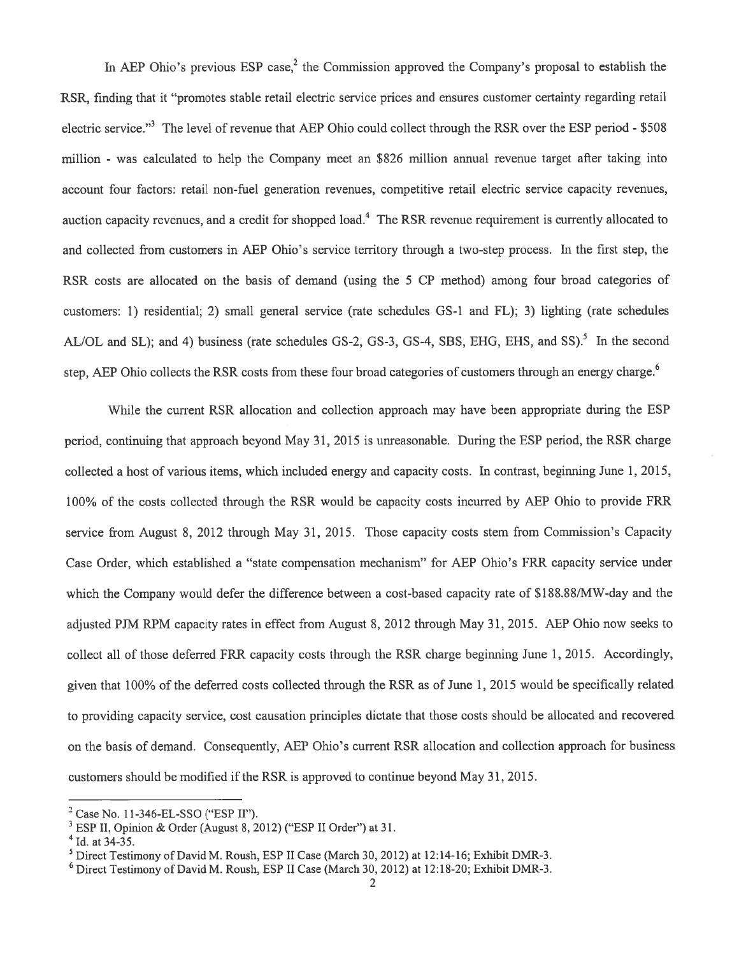In AEP Ohio's previous ESP case,<sup>2</sup> the Commission approved the Company's proposal to establish the RSR, finding that it "promotes stable retail electric service prices and ensures customer certainty regarding retail electric service."<sup>3</sup> The level of revenue that AEP Ohio could collect through the RSR over the ESP period - \$508 million -was calculated to help the Company meet an \$826 million annual revenue target after taking into account four factors: retail non-fuel generation revenues, competitive retail electric service capacity revenues, auction capacity revenues, and a credit for shopped load.<sup>4</sup> The RSR revenue requirement is currently allocated to and collected from customers in AEP Ohio's service territory through <sup>a</sup> two-step process. In the first step, the RSR costs are allocated on the basis of demand (using the 5 CP method) among four broad categories of customers: 1) residential; 2) small general service (rate schedules GS-l and FL); 3) lighting (rate schedules AL/OL and SL); and 4) business (rate schedules GS-2, GS-3, GS-4, SBS, EHG, EHS, and SS).<sup>5</sup> In the second step, AEP Ohio collects the RSR costs from these four broad categories of customers through an energy charge.<sup>6</sup>

While the current RSR allocation and collection approach may have been appropriate during the ESP period, continuing that approach beyond May 31, 2015 is unreasonable. During the ESP period, the RSR charge collected <sup>a</sup> host of various items, which included energy and capacity costs. In contrast, beginning June 1, 2015, 100% of the costs collected through the RSR would be capacity costs incurred by AEP Ohio to provide FRR service from August 8, 2012 through May 31, 2015. Those capacity costs stem from Commission's Capacity Case Order, which established <sup>a</sup> "state compensation mechanism" for AEP Ohio's FRR capacity service under which the Company would defer the difference between <sup>a</sup> cost-based capacity rate of \$188.88/MW-day and the adjusted PJM RPM capacity rates in effect from August 8, 2012 through May 31, 2015. AEP Ohio now seeks to collect all of those deferred FRR capacity costs through the RSR charge beginning June 1, 2015. Accordingly, <sup>g</sup>iven that 100% of the deferred costs collected through the RSR as of June 1, 2015 would be specifically related to providing capacity service, cost causation principles dictate that those costs should be allocated and recovered on the basis of demand. Consequently, AEP Ohio's current RSR allocation and collection approach for business customers should be modified if the RSR is approved to continue beyond May 31, 2015.

 $2$  Case No. 11-346-EL-SSO ("ESP II").

ESP II, Opinion & Order (August 8, 2012) ("ESP II Order") at 31.

<sup>&#</sup>x27;' Id. at 34-35.

<sup>&</sup>lt;sup>5</sup> Direct Testimony of David M. Roush, ESP II Case (March 30, 2012) at 12:14-16; Exhibit DMR-3.

<sup>6</sup> Direct Testimony of David M. Roush, ESP II Case (March 30, 2012) at 12:18-20; Exhibit DMR-3.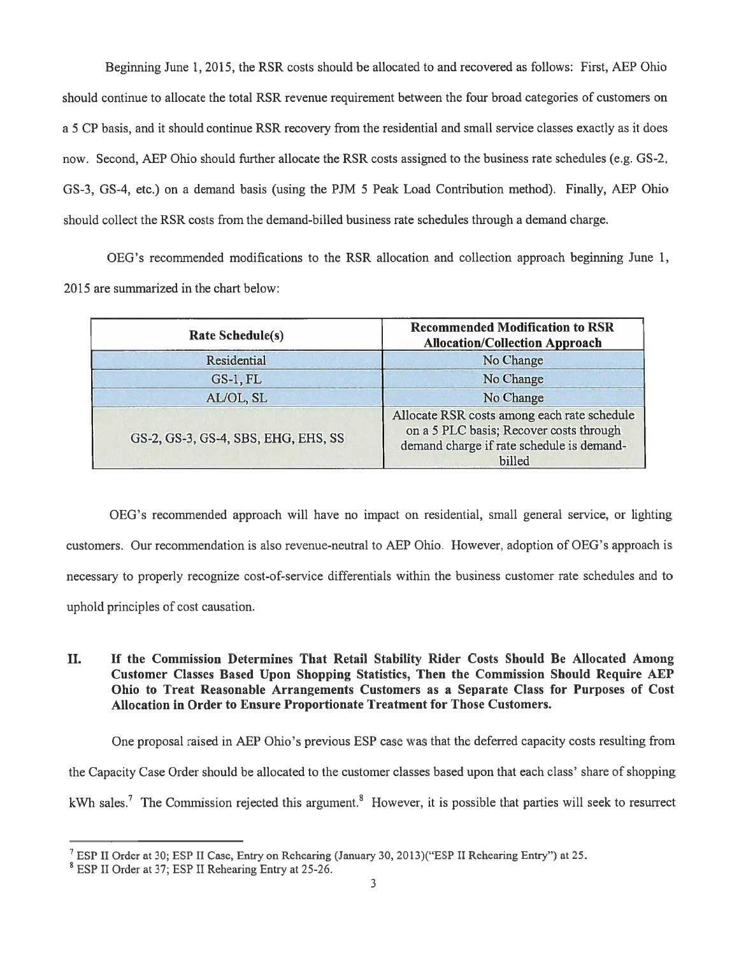Beginning June 1, 2015, the RSR costs should be allocated to and recovered as follows: First, AEP Ohio should continue to allocate the total RSR revenue requirement between the four broad categories of customers on <sup>a</sup> 5 CP basis, and it should continue RSR recovery from the residential and small service classes exactly as it does now. Second, AEP Ohio should further allocate the RSR costs assigned to the business rate schedules (e.g. GS-2, GS-3, GS-4, etc.) on <sup>a</sup> demand basis (using the PJM 5 Peak Load Contribution method). Finally, AEP Ohio should collect the RSR costs from the demand-billed business rate schedules through <sup>a</sup> demand charge.

OEG's recommended modifications to the RSR allocation and collection approach beginning June 1, 2015 are summarized in the chart below:

| <b>Rate Schedule(s)</b>             | <b>Recommended Modification to RSR</b><br><b>Allocation/Collection Approach</b>                                                               |
|-------------------------------------|-----------------------------------------------------------------------------------------------------------------------------------------------|
| Residential                         | No Change                                                                                                                                     |
| <b>GS-1, FL</b>                     | No Change                                                                                                                                     |
| AL/OL, SL                           | No Change                                                                                                                                     |
| GS-2, GS-3, GS-4, SBS, EHG, EHS, SS | Allocate RSR costs among each rate schedule<br>on a 5 PLC basis; Recover costs through<br>demand charge if rate schedule is demand-<br>billed |

OEG's recommended approach will have no impact on residential, small general service, or lighting customers. Our recommendation is also revenue-neutral to AEP Ohio. However, adoption of OEG's approach is necessary to properly recognize cost-of-service differentials within the business customer rate schedules and to uphold principles of cost causation.

### II. If the Commission Determines That Retail Stability Rider Costs Should Be Allocated Among Customer Classes Based Upon Shopping Statistics, Then the Commission Should Require AEP Ohio to Treat Reasonable Arrangements Customers as <sup>a</sup> Separate Class for Purposes of Cost Allocation in Order to Ensure Proportionate Treatment for Those Customers.

One proposal raised in AEP Ohio's previous ESP case was that the deferred capacity costs resulting from the Capacity Case Order should be allocated to the customer classes based upon that each class' share of shopping kWh sales.<sup>7</sup> The Commission rejected this argument.<sup>8</sup> However, it is possible that parties will seek to resurrect

<sup>&</sup>lt;sup>7</sup> ESP II Order at 30; ESP II Case, Entry on Rehearing (January 30, 2013)("ESP II Rehearing Entry") at 25.

<sup>8</sup> ESP II Order at 37; ESP II Rehearing Entry at 25-26.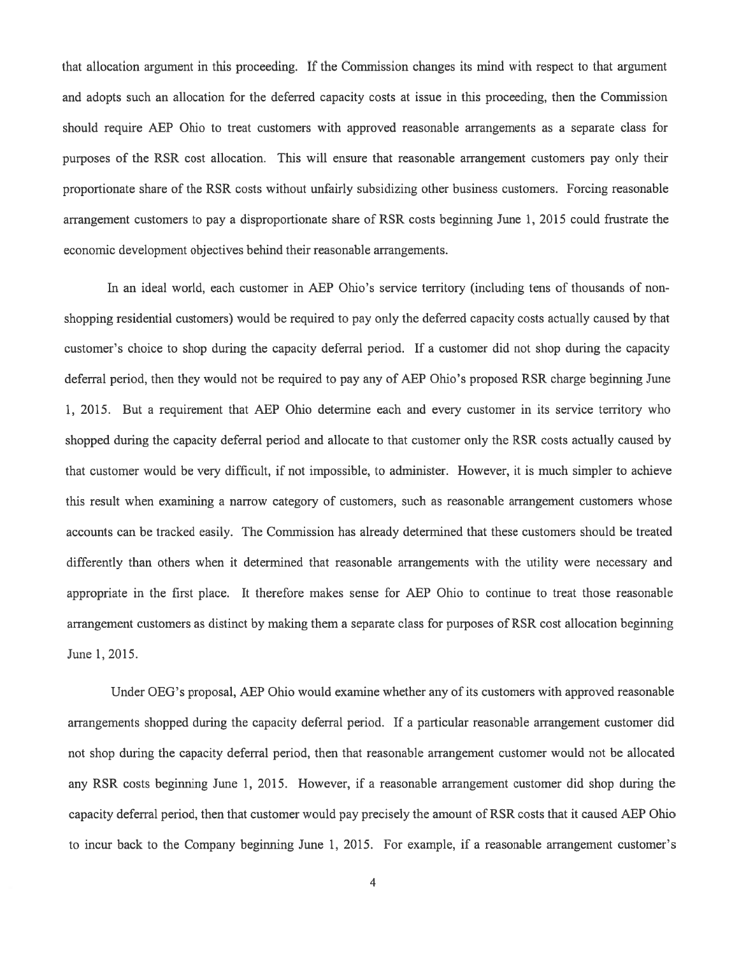that allocation argument in this proceeding. If the Commission changes its mind with respect to that argument and adopts such an allocation for the deferred capacity costs at issue in this proceeding, then the Commission should require AEP Ohio to treat customers with approved reasonable arrangements as <sup>a</sup> separate class for purposes of the RSR cost allocation. This will ensure that reasonable arrangemen<sup>t</sup> customers pay only their proportionate share of the RSR costs without unfairly subsidizing other business customers. Forcing reasonable arrangemen<sup>t</sup> customers to pay <sup>a</sup> disproportionate share of RSR costs beginning June 1, 2015 could frustrate the economic development objectives behind their reasonable arrangements.

In an ideal world, each customer in AEP Ohio's service territory (including tens of thousands of nonshopping residential customers) would be required to pay only the deferred capacity costs actually caused by that customer's choice to shop during the capacity deferral period. If <sup>a</sup> customer did not shop during the capacity deferral period, then they would not be required to pay any of AEP Ohio's proposed RSR charge beginning June 1, 2015. But <sup>a</sup> requirement that AEP Ohio determine each and every customer in its service territory who shopped during the capacity deferral period and allocate to that customer only the RSR costs actually caused by that customer would be very difficult, if not impossible, to administer. However, it is much simpler to achieve this result when examining <sup>a</sup> narrow category of customers, such as reasonable arrangemen<sup>t</sup> customers whose accounts can be tracked easily. The Commission has already determined that these customers should be treated differently than others when it determined that reasonable arrangements with the utility were necessary and appropriate in the first place. It therefore makes sense for AEP Ohio to continue to treat those reasonable arrangemen<sup>t</sup> customers as distinct by making them <sup>a</sup> separate class for purposes of RSR cost allocation beginning June 1,2015.

Under OEG's proposal, AEP Ohio would examine whether any of its customers with approved reasonable arrangements shopped during the capacity deferral period. If <sup>a</sup> particular reasonable arrangemen<sup>t</sup> customer did not shop during the capacity deferral period, then that reasonable arrangemen<sup>t</sup> customer would not be allocated any RSR costs beginning June 1, 2015. However, if <sup>a</sup> reasonable arrangemen<sup>t</sup> customer did shop during the capacity deferral period, then that customer would pay precisely the amount of RSR costs that it caused AEP Ohio to incur back to the Company beginning June 1, 2015. For example, if <sup>a</sup> reasonable arrangemen<sup>t</sup> customer's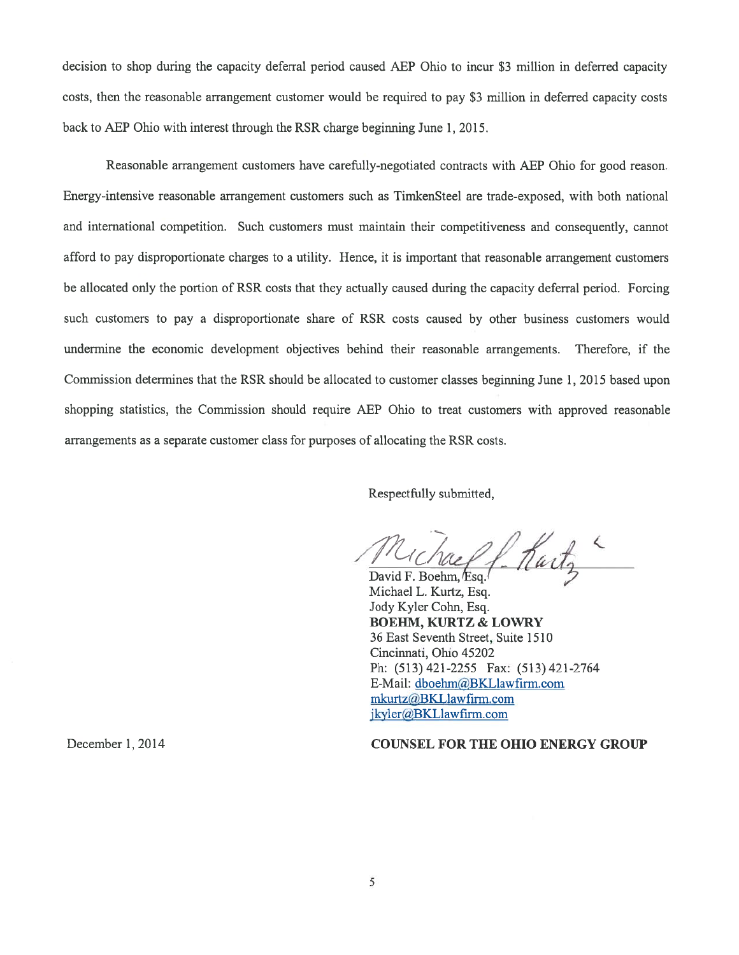decision to shop during the capacity deferral period caused AEP Ohio to incur \$3 million in deferred capacity costs, then the reasonable arrangemen<sup>t</sup> customer would be required to pay \$3 million in deferred capacity costs back to AEP Ohio with interest through the RSR charge beginning June 1, 2015.

Reasonable arrangemen<sup>t</sup> customers have carefully-negotiated contracts with AEP Ohio for good reason. Energy-intensive reasonable arrangemen<sup>t</sup> customers such as TimkenSteel are trade-exposed, with both national and international competition. Such customers must maintain their competitiveness and consequently, cannot afford to pay disproportionate charges to <sup>a</sup> utility. Hence, it is important that reasonable arrangemen<sup>t</sup> customers be allocated only the portion of RSR costs that they actually caused during the capacity deferral period. Forcing such customers to pay <sup>a</sup> disproportionate share of RSR costs caused by other business customers would undermine the economic development objectives behind their reasonable arrangements. Therefore, if the Commission determines that the RSR should be allocated to customer classes beginning June 1, 2015 based upon shopping statistics, the Commission should require AEP Ohio to treat customers with approved reasonable arrangements as <sup>a</sup> separate customer class for purposes of allocating the RSR costs.

Respectfully submitted,

Hartz<sup>e</sup> /

David F. Boehm, Esq. Michael L. Kurtz, Esq. Jody Kyler Cohn, Esq. BOERM, KURTZ & LOWRY 36 East Seventh Street, Suite 1510 Cincinnati, Ohio 45202 Ph: (513)421-2255 Fax: (513)421-2764 E-Mail: dboehm@BKLlawfirm.com mkurtz@BKLlawfirm.com jkyler@BKLlawfirm.com

#### December 1, 2014 COUNSEL FOR THE OHIO ENERGY GROUP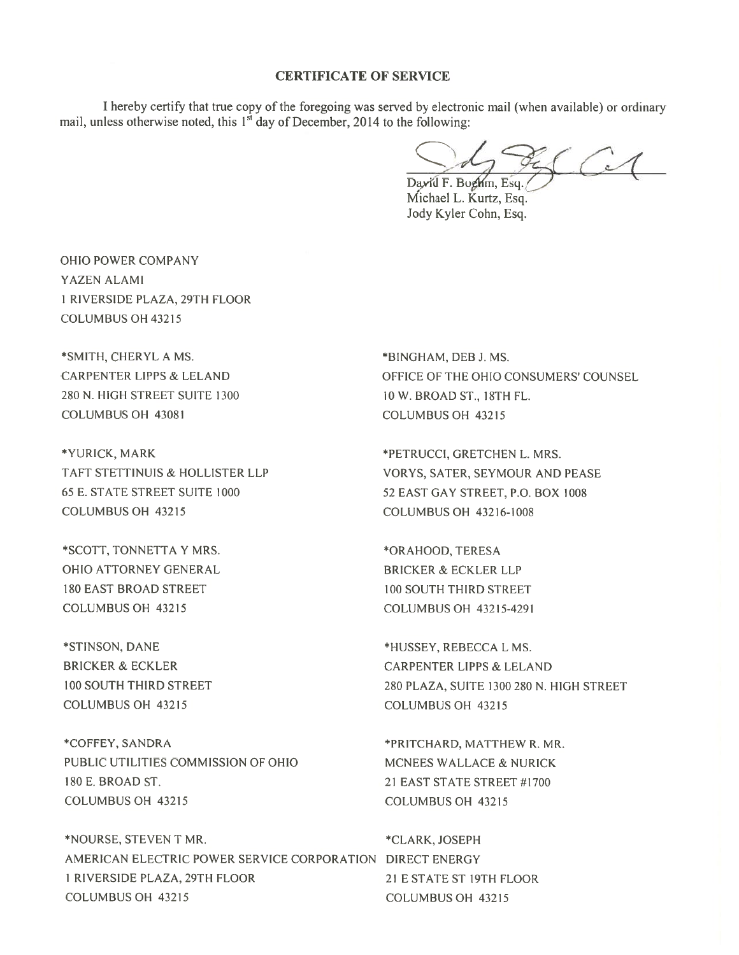#### CERTIFICATE OF SERVICE

<sup>I</sup> hereby certify that true copy of the foregoing was served by electronic mail (when available) or ordinary mail, unless otherwise noted, this  $1<sup>st</sup>$  day of December, 2014 to the following:

/  $\sim$ David F. Boehm, Esq.

Michael L. Kurtz, Esq. Jody Kyler Cohn, Esq.

OHIO POWER COMPANY YAZEN ALAMI 1 RIVERSIDE PLAZA, 29TH FLOOR COLUMBUS OH 43215

\*SMITH, CHERYL A MS. CARPENTER LIPPS & LELAND 280 N. HIGH STREET SUITE 1300 COLUMBUS OH 4308]

\*YU RICK, MARK TAFT STETTINUIS & HOLLISTER LLP 65 E. STATE STREET SUITE 1000 COLUMBUS OH 43215

\*SCOTT, TONNETTA Y MRS. OHIO ATTORNEY GENERAL 180 EAST BROAD STREET COLUMBUS OH 43215

\*STINSON, DANE BRICKER & ECKLER 100 SOUTH THIRD STREET COLUMBUS OH 432]5

\*COFFEY SANDRA PUBLIC UTILITIES COMMISSION OF OHIO 180 E. BROAD ST. COLUMBUS OH 43215

\*NOURSE, STEVEN T MR. AMERICAN ELECTRIC POWER SERVICE CORPORATION DIRECT ENERGY 1 RIVERSIDE PLAZA, 29TH FLOOR COLUMBUS OH 43215

\*BINGHAM, DEB J. MS. OFFICE OF THE OHIO CONSUMERS' COUNSEL lOW. BROAD ST., 18TH FL. COLUMBUS OH 43215

\*PETRUCCI, GRETCHEN L. MRS. VORYS. SATER, SEYMOUR AND PEASE 52 EAST GAY STREET, P.O. BOX 1008 COLUMBUS OH 432 16-1008

\*ORAHOOD, TERESA BRICKER & ECKLER LLP 100 SOUTH THIRD STREET COLUMBUS OH 43215-4291

\*HUSSEY REBECCA L MS. CARPENTER LIPPS & LELAND 280 PLAZA, SUITE 1300 280 N. HIGH STREET COLUMBUS OH 43215

\*PRITCHARD, MATTHEW R. MR. MCNEES WALLACE & NURICK 21 EAST STATE STREET #1700 COLUMBUS OH 43215

\*CLARK JOSEPH 21 E STATE ST 19TH FLOOR COLUMBUS OH 43215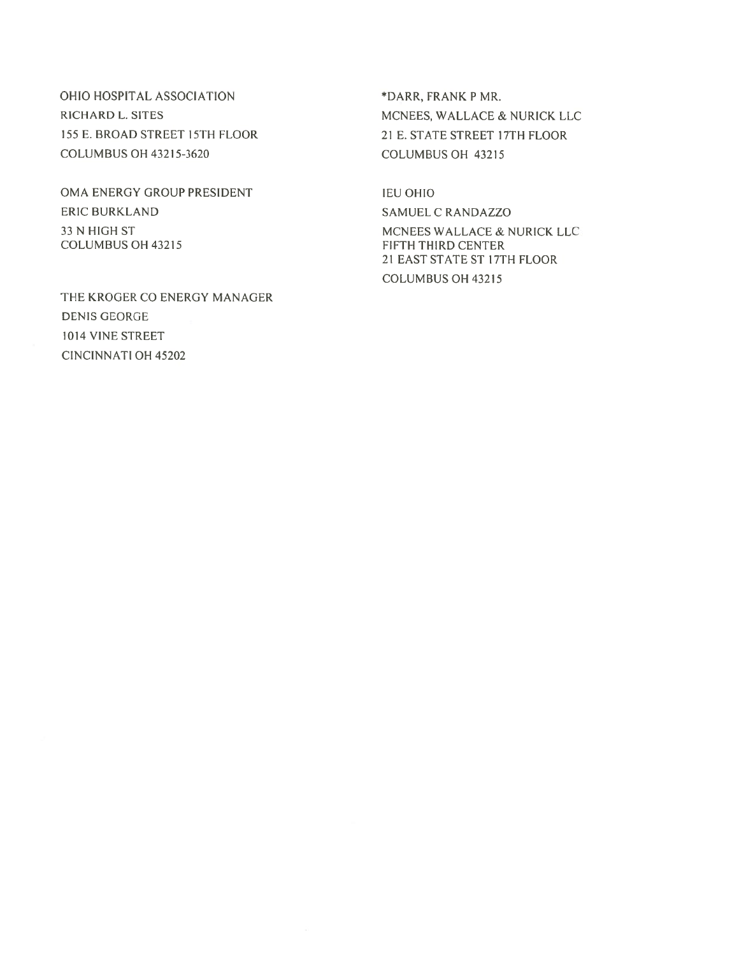OHIO HOSPITAL ASSOCIATION RICHARD L. SITES 155 E. BROAD STREET 15TH FLOOR COLUMBUS OH 432 15-3620

OMA ENERGY GROUP PRESIDENT ERIC BURKLAND 33 N HIGH ST COLUMBUS OH 43215

THE KROGER CO ENERGY MANAGER DENIS GEORGE 1014 VINE STREET CINCINNATI OH 45202

\*DARR, FRANK P MR. MCNEES, WALLACE & NURICK LLC 21 E. STATE STREET 17TH FLOOR COLUMBUS OH 43215

IEU OHIO SAMUEL C RANDAZZO MCNEES WALLACE & NURICK LLC FIFTH THIRD CENTER 21 EAST STATE ST 17TH FLOOR COLUMBUS OH 43215